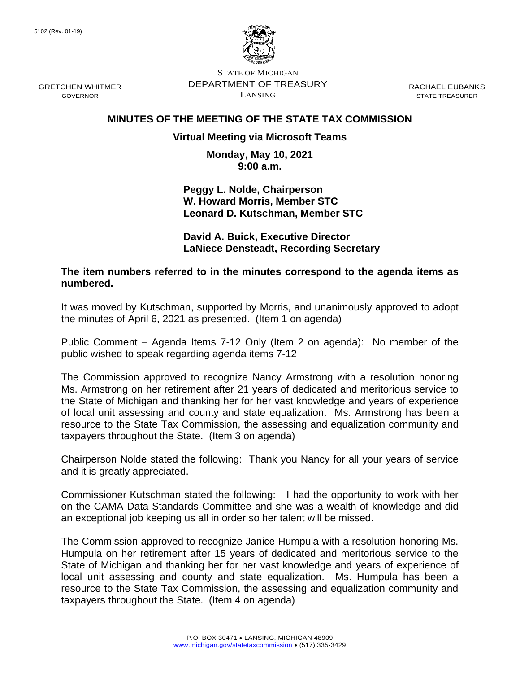GRETCHEN WHITMER GOVERNOR



STATE OF MICHIGAN DEPARTMENT OF TREASURY LANSING

RACHAEL EUBANKS STATE TREASURER

# **MINUTES OF THE MEETING OF THE STATE TAX COMMISSION**

## **Virtual Meeting via Microsoft Teams**

**Monday, May 10, 2021 9:00 a.m.**

**Peggy L. Nolde, Chairperson W. Howard Morris, Member STC Leonard D. Kutschman, Member STC**

**David A. Buick, Executive Director LaNiece Densteadt, Recording Secretary**

**The item numbers referred to in the minutes correspond to the agenda items as numbered.**

It was moved by Kutschman, supported by Morris, and unanimously approved to adopt the minutes of April 6, 2021 as presented. (Item 1 on agenda)

Public Comment – Agenda Items 7-12 Only (Item 2 on agenda): No member of the public wished to speak regarding agenda items 7-12

The Commission approved to recognize Nancy Armstrong with a resolution honoring Ms. Armstrong on her retirement after 21 years of dedicated and meritorious service to the State of Michigan and thanking her for her vast knowledge and years of experience of local unit assessing and county and state equalization. Ms. Armstrong has been a resource to the State Tax Commission, the assessing and equalization community and taxpayers throughout the State. (Item 3 on agenda)

Chairperson Nolde stated the following: Thank you Nancy for all your years of service and it is greatly appreciated.

Commissioner Kutschman stated the following: I had the opportunity to work with her on the CAMA Data Standards Committee and she was a wealth of knowledge and did an exceptional job keeping us all in order so her talent will be missed.

The Commission approved to recognize Janice Humpula with a resolution honoring Ms. Humpula on her retirement after 15 years of dedicated and meritorious service to the State of Michigan and thanking her for her vast knowledge and years of experience of local unit assessing and county and state equalization. Ms. Humpula has been a resource to the State Tax Commission, the assessing and equalization community and taxpayers throughout the State. (Item 4 on agenda)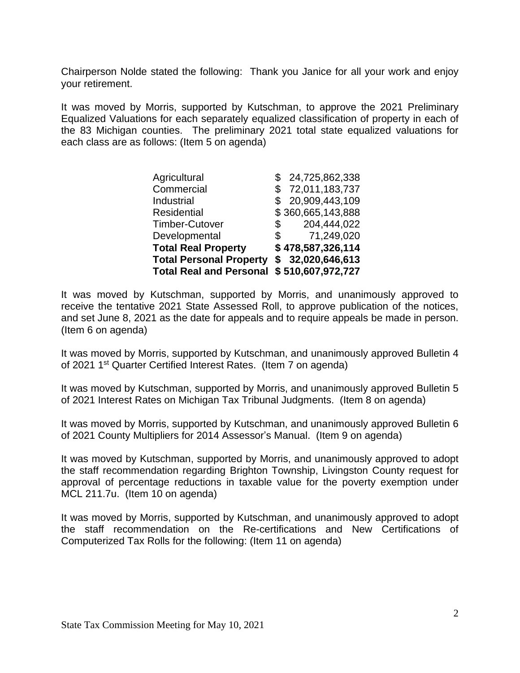Chairperson Nolde stated the following: Thank you Janice for all your work and enjoy your retirement.

It was moved by Morris, supported by Kutschman, to approve the 2021 Preliminary Equalized Valuations for each separately equalized classification of property in each of the 83 Michigan counties. The preliminary 2021 total state equalized valuations for each class are as follows: (Item 5 on agenda)

| Agricultural                   |               | 24,725,862,338    |
|--------------------------------|---------------|-------------------|
| Commercial                     |               | \$72,011,183,737  |
| Industrial                     |               | \$20,909,443,109  |
| <b>Residential</b>             |               | \$360,665,143,888 |
| <b>Timber-Cutover</b>          | \$            | 204,444,022       |
| Developmental                  | $\mathcal{S}$ | 71,249,020        |
| <b>Total Real Property</b>     |               | \$478,587,326,114 |
| <b>Total Personal Property</b> |               | \$32,020,646,613  |
| <b>Total Real and Personal</b> |               | \$510,607,972,727 |

It was moved by Kutschman, supported by Morris, and unanimously approved to receive the tentative 2021 State Assessed Roll, to approve publication of the notices, and set June 8, 2021 as the date for appeals and to require appeals be made in person. (Item 6 on agenda)

It was moved by Morris, supported by Kutschman, and unanimously approved Bulletin 4 of 2021 1st Quarter Certified Interest Rates. (Item 7 on agenda)

It was moved by Kutschman, supported by Morris, and unanimously approved Bulletin 5 of 2021 Interest Rates on Michigan Tax Tribunal Judgments. (Item 8 on agenda)

It was moved by Morris, supported by Kutschman, and unanimously approved Bulletin 6 of 2021 County Multipliers for 2014 Assessor's Manual. (Item 9 on agenda)

It was moved by Kutschman, supported by Morris, and unanimously approved to adopt the staff recommendation regarding Brighton Township, Livingston County request for approval of percentage reductions in taxable value for the poverty exemption under MCL 211.7u. (Item 10 on agenda)

It was moved by Morris, supported by Kutschman, and unanimously approved to adopt the staff recommendation on the Re-certifications and New Certifications of Computerized Tax Rolls for the following: (Item 11 on agenda)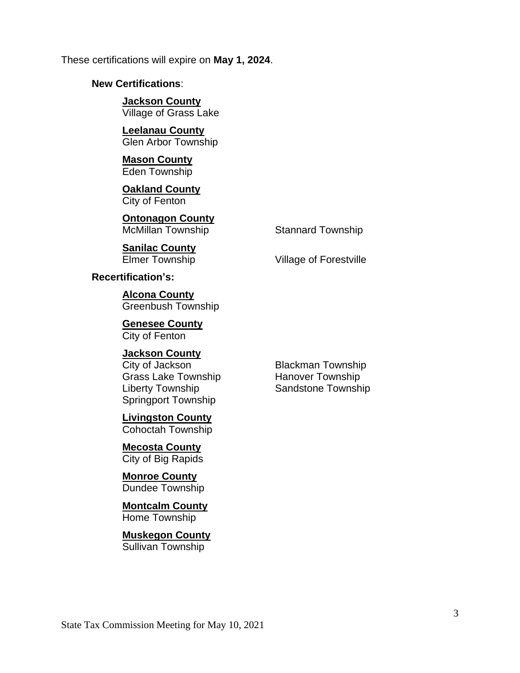These certifications will expire on **May 1, 2024**.

## **New Certifications**:

**Jackson County** Village of Grass Lake

**Leelanau County** Glen Arbor Township

**Mason County** Eden Township

**Oakland County** City of Fenton

**Ontonagon County** McMillan Township Stannard Township

**Sanilac County** Elmer Township Village of Forestville

**Recertification's:**

**Alcona County** Greenbush Township

**Genesee County** City of Fenton

## **Jackson County**

Grass Lake Township Hanover Township Liberty Township **Sandstone Township** Springport Township

**Livingston County** Cohoctah Township

**Mecosta County** City of Big Rapids

**Monroe County** Dundee Township

## **Montcalm County** Home Township

**Muskegon County** Sullivan Township

**City of Jackson** Blackman Township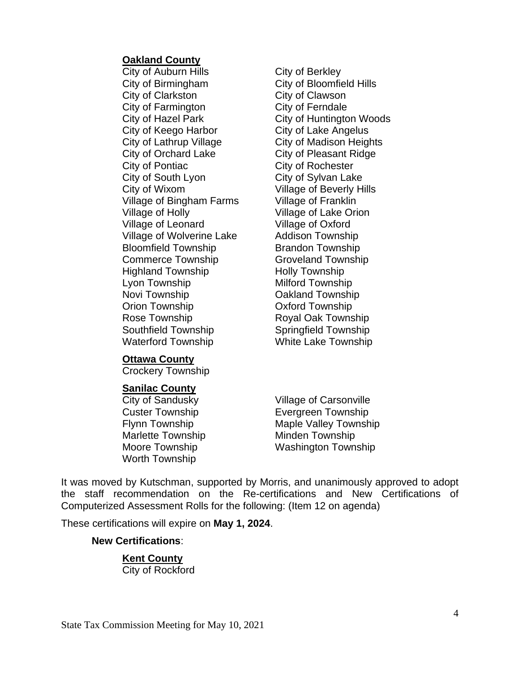#### **Oakland County**

City of Auburn Hills **City of Berkley** City of Birmingham City of Bloomfield Hills City of Clarkston City of Clawson City of Farmington City of Ferndale City of Keego Harbor City of Lake Angelus City of Lathrup Village City of Madison Heights City of Orchard Lake City of Pleasant Ridge City of Pontiac City of Rochester City of South Lyon City of Sylvan Lake City of Wixom Village of Beverly Hills Village of Bingham Farms Village of Franklin Village of Holly Village of Lake Orion Village of Leonard Village of Oxford Village of Wolverine Lake Addison Township Bloomfield Township Brandon Township Commerce Township Groveland Township Highland Township **Holly Township** Lyon Township Milford Township Novi Township **Cakland Township** Orion Township Oxford Township Rose Township Royal Oak Township Southfield Township Springfield Township Waterford Township White Lake Township

City of Hazel Park City of Huntington Woods

### **Ottawa County**

Crockery Township

### **Sanilac County**

City of Sandusky Village of Carsonville Marlette Township Minden Township Worth Township

Custer Township Evergreen Township Flynn Township Maple Valley Township Moore Township Washington Township

It was moved by Kutschman, supported by Morris, and unanimously approved to adopt the staff recommendation on the Re-certifications and New Certifications of Computerized Assessment Rolls for the following: (Item 12 on agenda)

These certifications will expire on **May 1, 2024**.

#### **New Certifications**:

**Kent County** City of Rockford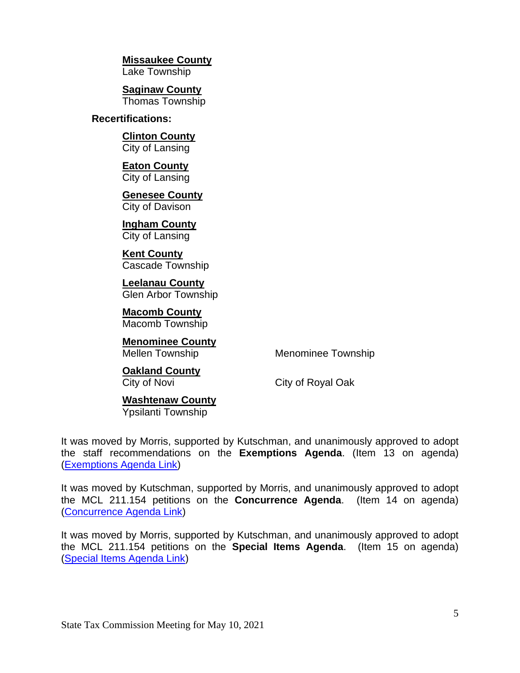**Missaukee County**

Lake Township

**Saginaw County** Thomas Township

## **Recertifications:**

**Clinton County** City of Lansing

**Eaton County** City of Lansing

**Genesee County** City of Davison

**Ingham County** City of Lansing

**Kent County** Cascade Township

**Leelanau County** Glen Arbor Township

**Macomb County** Macomb Township

**Menominee County**

Mellen Township Menominee Township

**Oakland County**

City of Novi City of Royal Oak

**Washtenaw County** Ypsilanti Township

It was moved by Morris, supported by Kutschman, and unanimously approved to adopt the staff recommendations on the **Exemptions Agenda**. (Item 13 on agenda) [\(Exemptions Agenda Link\)](https://www.michigan.gov/documents/treasury/Item_13_Exemptions_Agenda_724086_7.pdf)

It was moved by Kutschman, supported by Morris, and unanimously approved to adopt the MCL 211.154 petitions on the **Concurrence Agenda**. (Item 14 on agenda) [\(Concurrence Agenda Link\)](https://www.michigan.gov/documents/treasury/Item_14_154_Concurrence_Agenda_724088_7.pdf)

It was moved by Morris, supported by Kutschman, and unanimously approved to adopt the MCL 211.154 petitions on the **Special Items Agenda**. (Item 15 on agenda) [\(Special Items Agenda Link\)](https://www.michigan.gov/documents/treasury/Item_15_154_Special_Items_Agenda_724089_7.pdf)